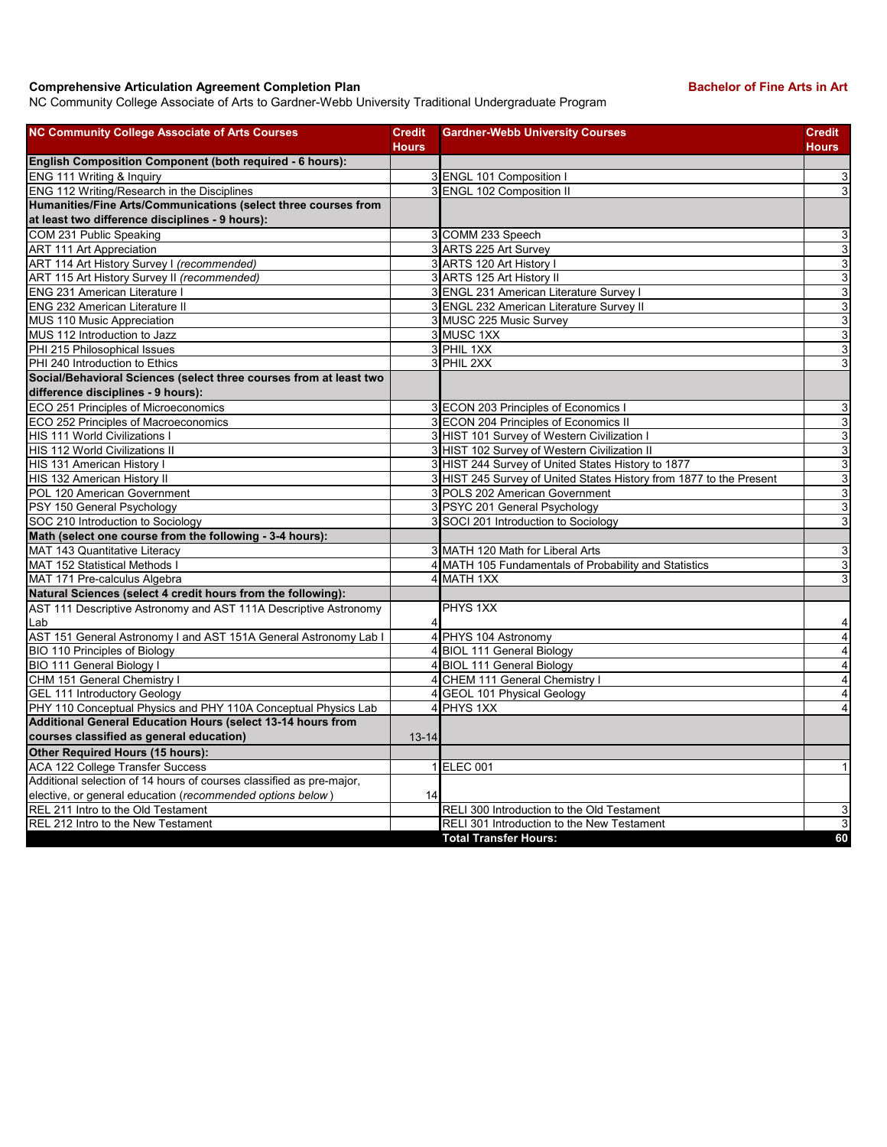## **Comprehensive Articulation Agreement Completion Plan Bachelor of Fine Arts in Art Bachelor of Fine Arts in Art**

NC Community College Associate of Arts to Gardner-Webb University Traditional Undergraduate Program

| <b>NC Community College Associate of Arts Courses</b>                | <b>Credit</b><br><b>Hours</b> | <b>Gardner-Webb University Courses</b>                              | <b>Credit</b><br><b>Hours</b> |
|----------------------------------------------------------------------|-------------------------------|---------------------------------------------------------------------|-------------------------------|
| English Composition Component (both required - 6 hours):             |                               |                                                                     |                               |
| ENG 111 Writing & Inquiry                                            |                               | 3 ENGL 101 Composition I                                            | 3                             |
| ENG 112 Writing/Research in the Disciplines                          |                               | 3 ENGL 102 Composition II                                           | 3                             |
| Humanities/Fine Arts/Communications (select three courses from       |                               |                                                                     |                               |
| at least two difference disciplines - 9 hours):                      |                               |                                                                     |                               |
| COM 231 Public Speaking                                              |                               | 3 COMM 233 Speech                                                   | $\ensuremath{\mathsf{3}}$     |
| <b>ART 111 Art Appreciation</b>                                      |                               | 3 ARTS 225 Art Survey                                               | 3                             |
| ART 114 Art History Survey I (recommended)                           |                               | 3 ARTS 120 Art History                                              | $\sqrt{3}$                    |
| ART 115 Art History Survey II (recommended)                          |                               | 3 ARTS 125 Art History II                                           | $\overline{3}$                |
| <b>ENG 231 American Literature I</b>                                 |                               | 3 ENGL 231 American Literature Survey I                             | $\mathsf 3$                   |
| <b>ENG 232 American Literature II</b>                                |                               | 3 ENGL 232 American Literature Survey II                            | 3                             |
| MUS 110 Music Appreciation                                           |                               | 3 MUSC 225 Music Survey                                             | $\overline{3}$                |
| MUS 112 Introduction to Jazz                                         |                               | 3 MUSC 1XX                                                          | 3                             |
| PHI 215 Philosophical Issues                                         |                               | 3 PHIL 1XX                                                          | $\mathsf 3$                   |
| PHI 240 Introduction to Ethics                                       |                               | 3 PHIL 2XX                                                          | 3                             |
| Social/Behavioral Sciences (select three courses from at least two   |                               |                                                                     |                               |
| difference disciplines - 9 hours):                                   |                               |                                                                     |                               |
| ECO 251 Principles of Microeconomics                                 |                               | 3 ECON 203 Principles of Economics I                                | $\overline{3}$                |
| ECO 252 Principles of Macroeconomics                                 |                               | 3 ECON 204 Principles of Economics II                               | $\sqrt{3}$                    |
| <b>HIS 111 World Civilizations I</b>                                 |                               | 3 HIST 101 Survey of Western Civilization I                         | $\mathsf 3$                   |
| HIS 112 World Civilizations II                                       |                               | 3 HIST 102 Survey of Western Civilization II                        | $\sqrt{3}$                    |
| HIS 131 American History I                                           |                               | 3 HIST 244 Survey of United States History to 1877                  | $\mathsf 3$                   |
| HIS 132 American History II                                          |                               | 3 HIST 245 Survey of United States History from 1877 to the Present | 3                             |
| POL 120 American Government                                          |                               | 3 POLS 202 American Government                                      | 3                             |
| PSY 150 General Psychology                                           |                               | 3 PSYC 201 General Psychology                                       | $\overline{3}$                |
| SOC 210 Introduction to Sociology                                    |                               | 3 SOCI 201 Introduction to Sociology                                | 3                             |
| Math (select one course from the following - 3-4 hours):             |                               |                                                                     |                               |
| MAT 143 Quantitative Literacy                                        |                               | 3 MATH 120 Math for Liberal Arts                                    | $\sqrt{3}$                    |
| MAT 152 Statistical Methods I                                        |                               | 4 MATH 105 Fundamentals of Probability and Statistics               | $\sqrt{3}$                    |
| MAT 171 Pre-calculus Algebra                                         |                               | 4 MATH 1XX                                                          | 3                             |
| Natural Sciences (select 4 credit hours from the following):         |                               |                                                                     |                               |
| AST 111 Descriptive Astronomy and AST 111A Descriptive Astronomy     |                               | PHYS 1XX                                                            |                               |
| Lab                                                                  | 4                             |                                                                     | 4                             |
| AST 151 General Astronomy I and AST 151A General Astronomy Lab I     |                               | 4 PHYS 104 Astronomy                                                | $\overline{\mathbf{4}}$       |
| <b>BIO 110 Principles of Biology</b>                                 |                               | 4 BIOL 111 General Biology                                          | $\overline{4}$                |
| BIO 111 General Biology I                                            |                               | 4 BIOL 111 General Biology                                          | $\overline{4}$                |
| CHM 151 General Chemistry I                                          |                               | 4 CHEM 111 General Chemistry I                                      | $\overline{4}$                |
| <b>GEL 111 Introductory Geology</b>                                  |                               | 4 GEOL 101 Physical Geology                                         | $\overline{\mathbf{4}}$       |
| PHY 110 Conceptual Physics and PHY 110A Conceptual Physics Lab       |                               | 4 PHYS 1XX                                                          | $\overline{4}$                |
| Additional General Education Hours (select 13-14 hours from          |                               |                                                                     |                               |
| courses classified as general education)                             | $13 - 14$                     |                                                                     |                               |
| Other Required Hours (15 hours):                                     |                               |                                                                     |                               |
| <b>ACA 122 College Transfer Success</b>                              |                               | 1 ELEC 001                                                          | $\mathbf{1}$                  |
| Additional selection of 14 hours of courses classified as pre-major, |                               |                                                                     |                               |
| elective, or general education (recommended options below)           | 14                            |                                                                     |                               |
| REL 211 Intro to the Old Testament                                   |                               | RELI 300 Introduction to the Old Testament                          | 3                             |
| REL 212 Intro to the New Testament                                   |                               | RELI 301 Introduction to the New Testament                          | $\overline{3}$                |
|                                                                      |                               | <b>Total Transfer Hours:</b>                                        | 60                            |